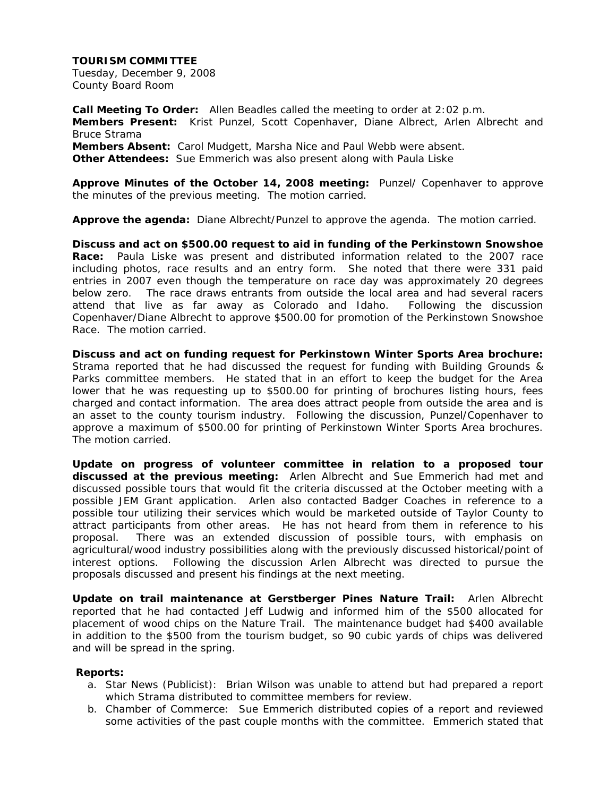Tuesday, December 9, 2008 County Board Room

**Call Meeting To Order:** Allen Beadles called the meeting to order at 2:02 p.m. **Members Present:** Krist Punzel, Scott Copenhaver, Diane Albrect, Arlen Albrecht and Bruce Strama **Members Absent:** Carol Mudgett, Marsha Nice and Paul Webb were absent. **Other Attendees:** Sue Emmerich was also present along with Paula Liske

**Approve Minutes of the October 14, 2008 meeting:** Punzel/ Copenhaver to approve the minutes of the previous meeting. The motion carried.

**Approve the agenda:** Diane Albrecht/Punzel to approve the agenda. The motion carried.

**Discuss and act on \$500.00 request to aid in funding of the Perkinstown Snowshoe Race:** Paula Liske was present and distributed information related to the 2007 race including photos, race results and an entry form. She noted that there were 331 paid entries in 2007 even though the temperature on race day was approximately 20 degrees below zero. The race draws entrants from outside the local area and had several racers attend that live as far away as Colorado and Idaho. Following the discussion Copenhaver/Diane Albrecht to approve \$500.00 for promotion of the Perkinstown Snowshoe Race. The motion carried.

**Discuss and act on funding request for Perkinstown Winter Sports Area brochure:**  Strama reported that he had discussed the request for funding with Building Grounds & Parks committee members. He stated that in an effort to keep the budget for the Area lower that he was requesting up to \$500.00 for printing of brochures listing hours, fees charged and contact information. The area does attract people from outside the area and is an asset to the county tourism industry. Following the discussion, Punzel/Copenhaver to approve a maximum of \$500.00 for printing of Perkinstown Winter Sports Area brochures. The motion carried.

**Update on progress of volunteer committee in relation to a proposed tour discussed at the previous meeting:** Arlen Albrecht and Sue Emmerich had met and discussed possible tours that would fit the criteria discussed at the October meeting with a possible JEM Grant application. Arlen also contacted Badger Coaches in reference to a possible tour utilizing their services which would be marketed outside of Taylor County to attract participants from other areas. He has not heard from them in reference to his proposal. There was an extended discussion of possible tours, with emphasis on agricultural/wood industry possibilities along with the previously discussed historical/point of interest options. Following the discussion Arlen Albrecht was directed to pursue the proposals discussed and present his findings at the next meeting.

**Update on trail maintenance at Gerstberger Pines Nature Trail:** Arlen Albrecht reported that he had contacted Jeff Ludwig and informed him of the \$500 allocated for placement of wood chips on the Nature Trail. The maintenance budget had \$400 available in addition to the \$500 from the tourism budget, so 90 cubic yards of chips was delivered and will be spread in the spring.

## **Reports:**

- a. Star News (Publicist): Brian Wilson was unable to attend but had prepared a report which Strama distributed to committee members for review.
- b. Chamber of Commerce: Sue Emmerich distributed copies of a report and reviewed some activities of the past couple months with the committee. Emmerich stated that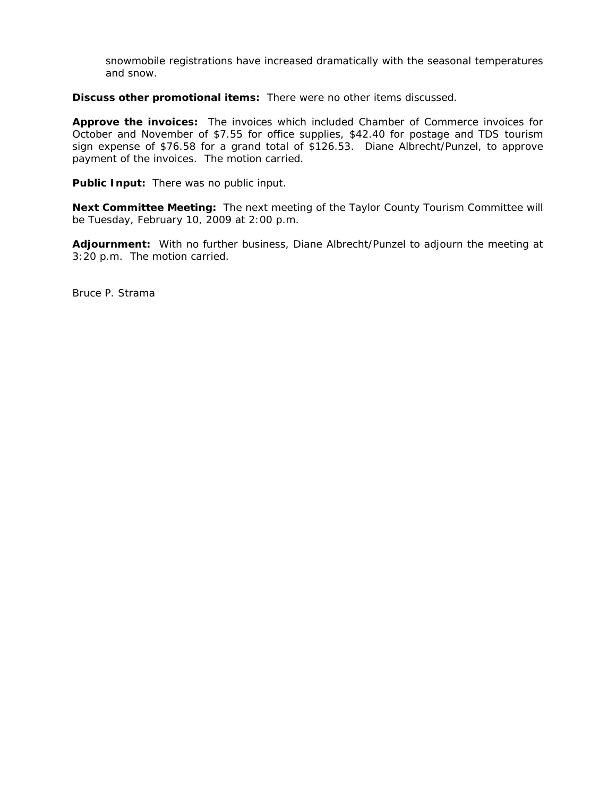snowmobile registrations have increased dramatically with the seasonal temperatures and snow.

**Discuss other promotional items:** There were no other items discussed.

**Approve the invoices:** The invoices which included Chamber of Commerce invoices for October and November of \$7.55 for office supplies, \$42.40 for postage and TDS tourism sign expense of \$76.58 for a grand total of \$126.53. Diane Albrecht/Punzel, to approve payment of the invoices. The motion carried.

**Public Input:** There was no public input.

**Next Committee Meeting:** The next meeting of the Taylor County Tourism Committee will be Tuesday, February 10, 2009 at 2:00 p.m.

**Adjournment:** With no further business, Diane Albrecht/Punzel to adjourn the meeting at 3:20 p.m. The motion carried.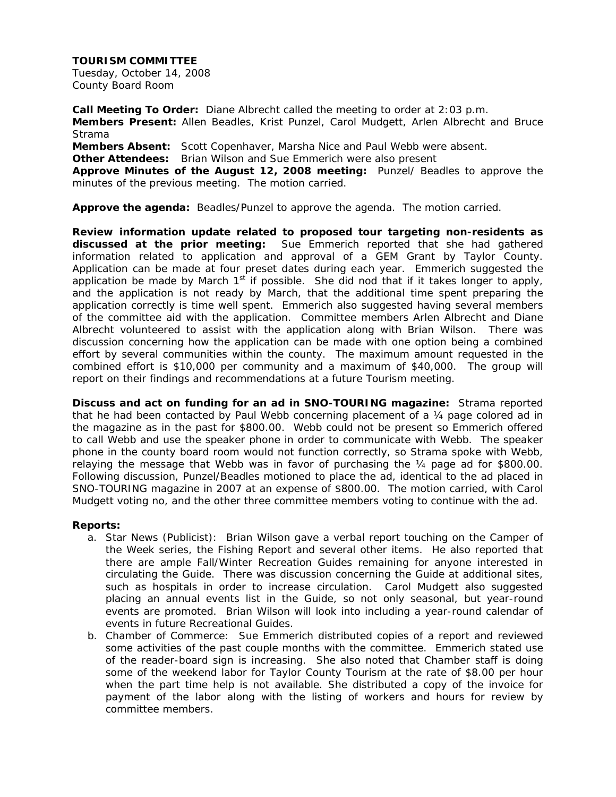Tuesday, October 14, 2008 County Board Room

**Call Meeting To Order:** Diane Albrecht called the meeting to order at 2:03 p.m. **Members Present:** Allen Beadles, Krist Punzel, Carol Mudgett, Arlen Albrecht and Bruce Strama **Members Absent:** Scott Copenhaver, Marsha Nice and Paul Webb were absent. **Other Attendees:** Brian Wilson and Sue Emmerich were also present **Approve Minutes of the August 12, 2008 meeting:** Punzel/ Beadles to approve the minutes of the previous meeting. The motion carried.

**Approve the agenda:** Beadles/Punzel to approve the agenda. The motion carried.

**Review information update related to proposed tour targeting non-residents as discussed at the prior meeting:** Sue Emmerich reported that she had gathered information related to application and approval of a GEM Grant by Taylor County. Application can be made at four preset dates during each year. Emmerich suggested the application be made by March  $1<sup>st</sup>$  if possible. She did nod that if it takes longer to apply, and the application is not ready by March, that the additional time spent preparing the application correctly is time well spent. Emmerich also suggested having several members of the committee aid with the application. Committee members Arlen Albrecht and Diane Albrecht volunteered to assist with the application along with Brian Wilson. There was discussion concerning how the application can be made with one option being a combined effort by several communities within the county. The maximum amount requested in the combined effort is \$10,000 per community and a maximum of \$40,000. The group will report on their findings and recommendations at a future Tourism meeting.

**Discuss and act on funding for an ad in SNO-TOURING magazine:** Strama reported that he had been contacted by Paul Webb concerning placement of a 1/4 page colored ad in the magazine as in the past for \$800.00. Webb could not be present so Emmerich offered to call Webb and use the speaker phone in order to communicate with Webb. The speaker phone in the county board room would not function correctly, so Strama spoke with Webb, relaying the message that Webb was in favor of purchasing the  $\frac{1}{4}$  page ad for \$800.00. Following discussion, Punzel/Beadles motioned to place the ad, identical to the ad placed in SNO-TOURING magazine in 2007 at an expense of \$800.00. The motion carried, with Carol Mudgett voting no, and the other three committee members voting to continue with the ad.

## **Reports:**

- a. Star News (Publicist): Brian Wilson gave a verbal report touching on the Camper of the Week series, the Fishing Report and several other items. He also reported that there are ample Fall/Winter Recreation Guides remaining for anyone interested in circulating the Guide. There was discussion concerning the Guide at additional sites, such as hospitals in order to increase circulation. Carol Mudgett also suggested placing an annual events list in the Guide, so not only seasonal, but year-round events are promoted. Brian Wilson will look into including a year-round calendar of events in future Recreational Guides.
- b. Chamber of Commerce: Sue Emmerich distributed copies of a report and reviewed some activities of the past couple months with the committee. Emmerich stated use of the reader-board sign is increasing. She also noted that Chamber staff is doing some of the weekend labor for Taylor County Tourism at the rate of \$8.00 per hour when the part time help is not available. She distributed a copy of the invoice for payment of the labor along with the listing of workers and hours for review by committee members.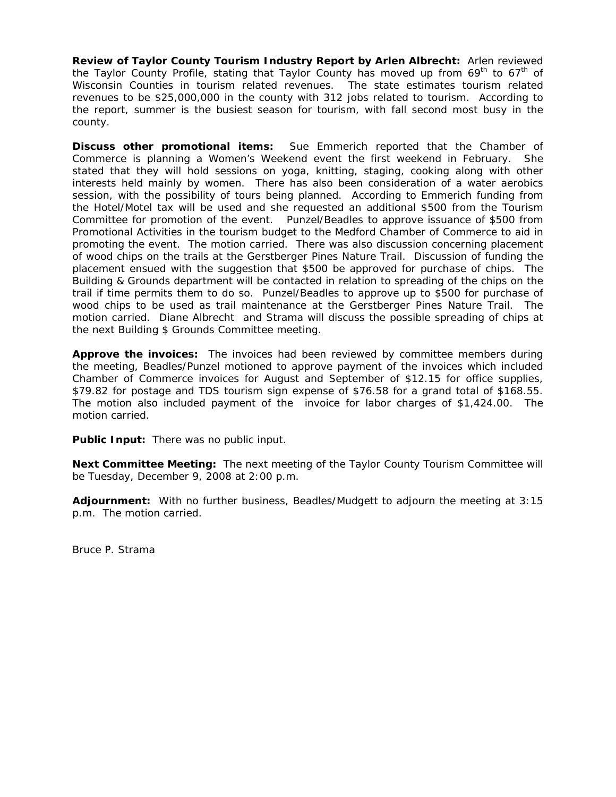**Review of Taylor County Tourism Industry Report by Arlen Albrecht:** Arlen reviewed the Taylor County Profile, stating that Taylor County has moved up from  $69^{th}$  to  $67^{th}$  of Wisconsin Counties in tourism related revenues. The state estimates tourism related revenues to be \$25,000,000 in the county with 312 jobs related to tourism. According to the report, summer is the busiest season for tourism, with fall second most busy in the county.

**Discuss other promotional items:** Sue Emmerich reported that the Chamber of Commerce is planning a Women's Weekend event the first weekend in February. She stated that they will hold sessions on yoga, knitting, staging, cooking along with other interests held mainly by women. There has also been consideration of a water aerobics session, with the possibility of tours being planned. According to Emmerich funding from the Hotel/Motel tax will be used and she requested an additional \$500 from the Tourism Committee for promotion of the event. Punzel/Beadles to approve issuance of \$500 from Promotional Activities in the tourism budget to the Medford Chamber of Commerce to aid in promoting the event. The motion carried. There was also discussion concerning placement of wood chips on the trails at the Gerstberger Pines Nature Trail. Discussion of funding the placement ensued with the suggestion that \$500 be approved for purchase of chips. The Building & Grounds department will be contacted in relation to spreading of the chips on the trail if time permits them to do so. Punzel/Beadles to approve up to \$500 for purchase of wood chips to be used as trail maintenance at the Gerstberger Pines Nature Trail. The motion carried. Diane Albrecht and Strama will discuss the possible spreading of chips at the next Building \$ Grounds Committee meeting.

**Approve the invoices:** The invoices had been reviewed by committee members during the meeting, Beadles/Punzel motioned to approve payment of the invoices which included Chamber of Commerce invoices for August and September of \$12.15 for office supplies, \$79.82 for postage and TDS tourism sign expense of \$76.58 for a grand total of \$168.55. The motion also included payment of the invoice for labor charges of \$1,424.00. The motion carried.

**Public Input:** There was no public input.

**Next Committee Meeting:** The next meeting of the Taylor County Tourism Committee will be Tuesday, December 9, 2008 at 2:00 p.m.

**Adjournment:** With no further business, Beadles/Mudgett to adjourn the meeting at 3:15 p.m. The motion carried.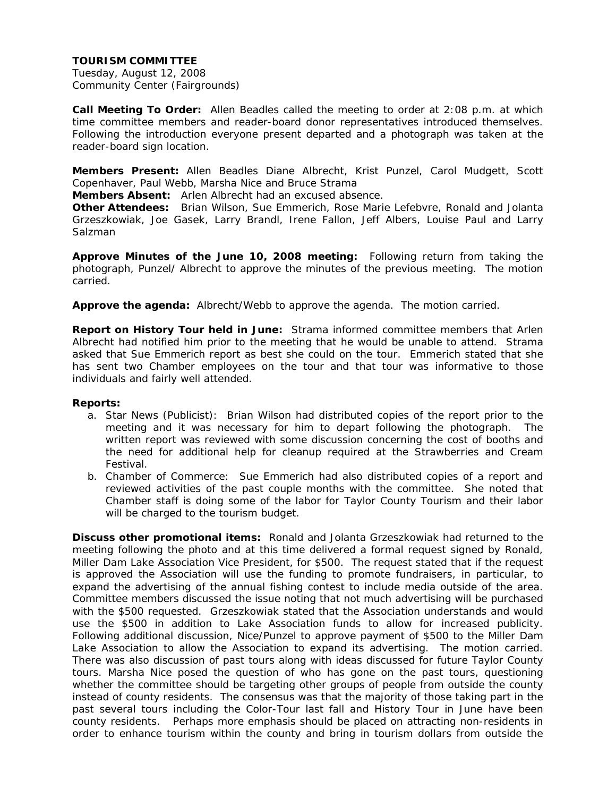Tuesday, August 12, 2008 Community Center (Fairgrounds)

**Call Meeting To Order:** Allen Beadles called the meeting to order at 2:08 p.m. at which time committee members and reader-board donor representatives introduced themselves. Following the introduction everyone present departed and a photograph was taken at the reader-board sign location.

**Members Present:** Allen Beadles Diane Albrecht, Krist Punzel, Carol Mudgett, Scott Copenhaver, Paul Webb, Marsha Nice and Bruce Strama

**Members Absent:** Arlen Albrecht had an excused absence.

**Other Attendees:** Brian Wilson, Sue Emmerich, Rose Marie Lefebvre, Ronald and Jolanta Grzeszkowiak, Joe Gasek, Larry Brandl, Irene Fallon, Jeff Albers, Louise Paul and Larry Salzman

**Approve Minutes of the June 10, 2008 meeting:** Following return from taking the photograph, Punzel/ Albrecht to approve the minutes of the previous meeting. The motion carried.

**Approve the agenda:** Albrecht/Webb to approve the agenda. The motion carried.

**Report on History Tour held in June:** Strama informed committee members that Arlen Albrecht had notified him prior to the meeting that he would be unable to attend. Strama asked that Sue Emmerich report as best she could on the tour. Emmerich stated that she has sent two Chamber employees on the tour and that tour was informative to those individuals and fairly well attended.

## **Reports:**

- a. Star News (Publicist): Brian Wilson had distributed copies of the report prior to the meeting and it was necessary for him to depart following the photograph. The written report was reviewed with some discussion concerning the cost of booths and the need for additional help for cleanup required at the Strawberries and Cream Festival.
- b. Chamber of Commerce: Sue Emmerich had also distributed copies of a report and reviewed activities of the past couple months with the committee. She noted that Chamber staff is doing some of the labor for Taylor County Tourism and their labor will be charged to the tourism budget.

**Discuss other promotional items:** Ronald and Jolanta Grzeszkowiak had returned to the meeting following the photo and at this time delivered a formal request signed by Ronald, Miller Dam Lake Association Vice President, for \$500. The request stated that if the request is approved the Association will use the funding to promote fundraisers, in particular, to expand the advertising of the annual fishing contest to include media outside of the area. Committee members discussed the issue noting that not much advertising will be purchased with the \$500 requested. Grzeszkowiak stated that the Association understands and would use the \$500 in addition to Lake Association funds to allow for increased publicity. Following additional discussion, Nice/Punzel to approve payment of \$500 to the Miller Dam Lake Association to allow the Association to expand its advertising. The motion carried. There was also discussion of past tours along with ideas discussed for future Taylor County tours. Marsha Nice posed the question of who has gone on the past tours, questioning whether the committee should be targeting other groups of people from outside the county instead of county residents. The consensus was that the majority of those taking part in the past several tours including the Color-Tour last fall and History Tour in June have been county residents. Perhaps more emphasis should be placed on attracting non-residents in order to enhance tourism within the county and bring in tourism dollars from outside the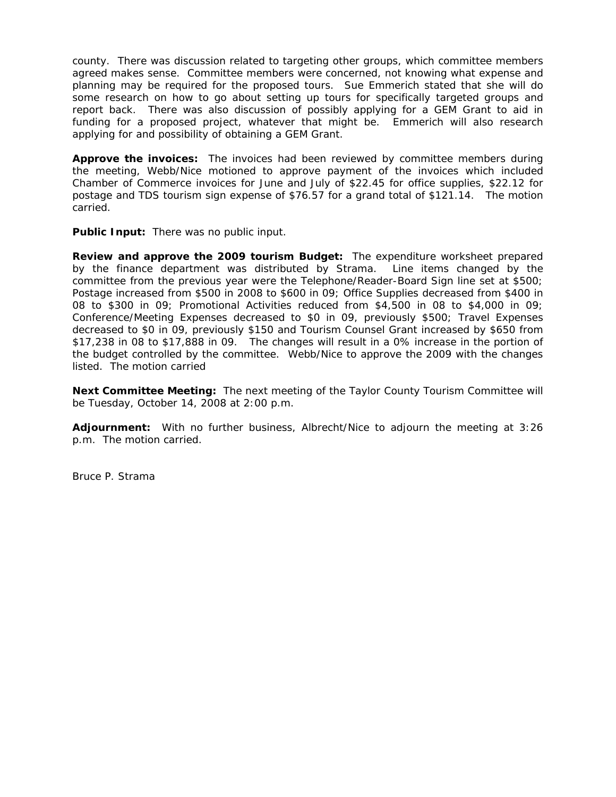county. There was discussion related to targeting other groups, which committee members agreed makes sense. Committee members were concerned, not knowing what expense and planning may be required for the proposed tours. Sue Emmerich stated that she will do some research on how to go about setting up tours for specifically targeted groups and report back. There was also discussion of possibly applying for a GEM Grant to aid in funding for a proposed project, whatever that might be. Emmerich will also research applying for and possibility of obtaining a GEM Grant.

**Approve the invoices:** The invoices had been reviewed by committee members during the meeting, Webb/Nice motioned to approve payment of the invoices which included Chamber of Commerce invoices for June and July of \$22.45 for office supplies, \$22.12 for postage and TDS tourism sign expense of \$76.57 for a grand total of \$121.14. The motion carried.

**Public Input:** There was no public input.

**Review and approve the 2009 tourism Budget:** The expenditure worksheet prepared by the finance department was distributed by Strama. Line items changed by the committee from the previous year were the Telephone/Reader-Board Sign line set at \$500; Postage increased from \$500 in 2008 to \$600 in 09; Office Supplies decreased from \$400 in 08 to \$300 in 09; Promotional Activities reduced from \$4,500 in 08 to \$4,000 in 09; Conference/Meeting Expenses decreased to \$0 in 09, previously \$500; Travel Expenses decreased to \$0 in 09, previously \$150 and Tourism Counsel Grant increased by \$650 from \$17,238 in 08 to \$17,888 in 09. The changes will result in a 0% increase in the portion of the budget controlled by the committee. Webb/Nice to approve the 2009 with the changes listed. The motion carried

**Next Committee Meeting:** The next meeting of the Taylor County Tourism Committee will be Tuesday, October 14, 2008 at 2:00 p.m.

**Adjournment:** With no further business, Albrecht/Nice to adjourn the meeting at 3:26 p.m. The motion carried.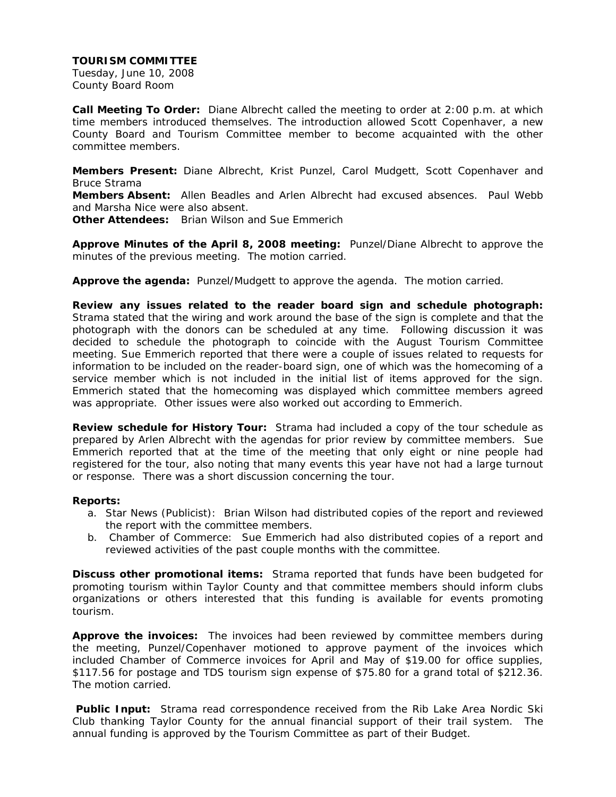Tuesday, June 10, 2008 County Board Room

**Call Meeting To Order:** Diane Albrecht called the meeting to order at 2:00 p.m. at which time members introduced themselves. The introduction allowed Scott Copenhaver, a new County Board and Tourism Committee member to become acquainted with the other committee members.

**Members Present:** Diane Albrecht, Krist Punzel, Carol Mudgett, Scott Copenhaver and Bruce Strama

**Members Absent:** Allen Beadles and Arlen Albrecht had excused absences. Paul Webb and Marsha Nice were also absent.

**Other Attendees:** Brian Wilson and Sue Emmerich

**Approve Minutes of the April 8, 2008 meeting:** Punzel/Diane Albrecht to approve the minutes of the previous meeting. The motion carried.

**Approve the agenda:** Punzel/Mudgett to approve the agenda. The motion carried.

**Review any issues related to the reader board sign and schedule photograph:**  Strama stated that the wiring and work around the base of the sign is complete and that the photograph with the donors can be scheduled at any time. Following discussion it was decided to schedule the photograph to coincide with the August Tourism Committee meeting. Sue Emmerich reported that there were a couple of issues related to requests for information to be included on the reader-board sign, one of which was the homecoming of a service member which is not included in the initial list of items approved for the sign. Emmerich stated that the homecoming was displayed which committee members agreed was appropriate. Other issues were also worked out according to Emmerich.

**Review schedule for History Tour:** Strama had included a copy of the tour schedule as prepared by Arlen Albrecht with the agendas for prior review by committee members. Sue Emmerich reported that at the time of the meeting that only eight or nine people had registered for the tour, also noting that many events this year have not had a large turnout or response. There was a short discussion concerning the tour.

## **Reports:**

- a. Star News (Publicist): Brian Wilson had distributed copies of the report and reviewed the report with the committee members.
- b. Chamber of Commerce: Sue Emmerich had also distributed copies of a report and reviewed activities of the past couple months with the committee.

**Discuss other promotional items:** Strama reported that funds have been budgeted for promoting tourism within Taylor County and that committee members should inform clubs organizations or others interested that this funding is available for events promoting tourism.

**Approve the invoices:** The invoices had been reviewed by committee members during the meeting, Punzel/Copenhaver motioned to approve payment of the invoices which included Chamber of Commerce invoices for April and May of \$19.00 for office supplies, \$117.56 for postage and TDS tourism sign expense of \$75.80 for a grand total of \$212.36. The motion carried.

 **Public Input:** Strama read correspondence received from the Rib Lake Area Nordic Ski Club thanking Taylor County for the annual financial support of their trail system. The annual funding is approved by the Tourism Committee as part of their Budget.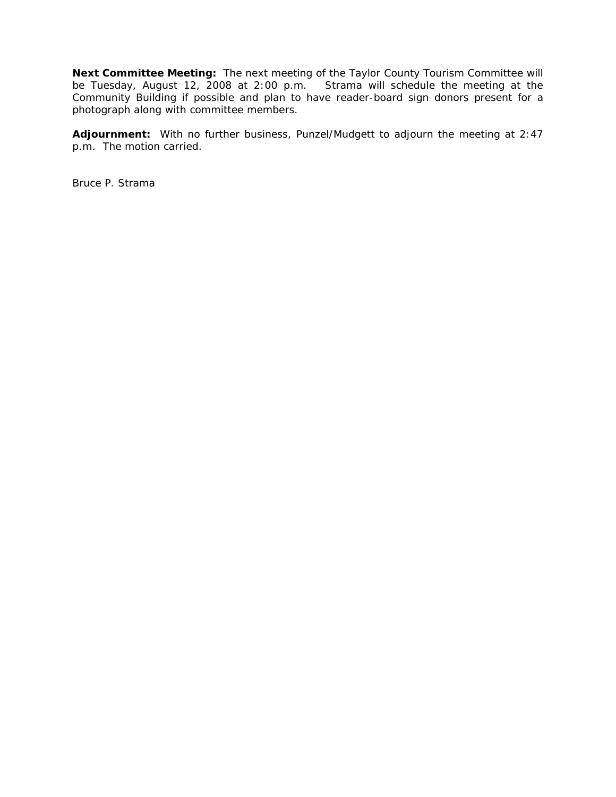**Next Committee Meeting:** The next meeting of the Taylor County Tourism Committee will be Tuesday, August 12, 2008 at 2:00 p.m. Strama will schedule the meeting at the Community Building if possible and plan to have reader-board sign donors present for a photograph along with committee members.

**Adjournment:** With no further business, Punzel/Mudgett to adjourn the meeting at 2:47 p.m. The motion carried.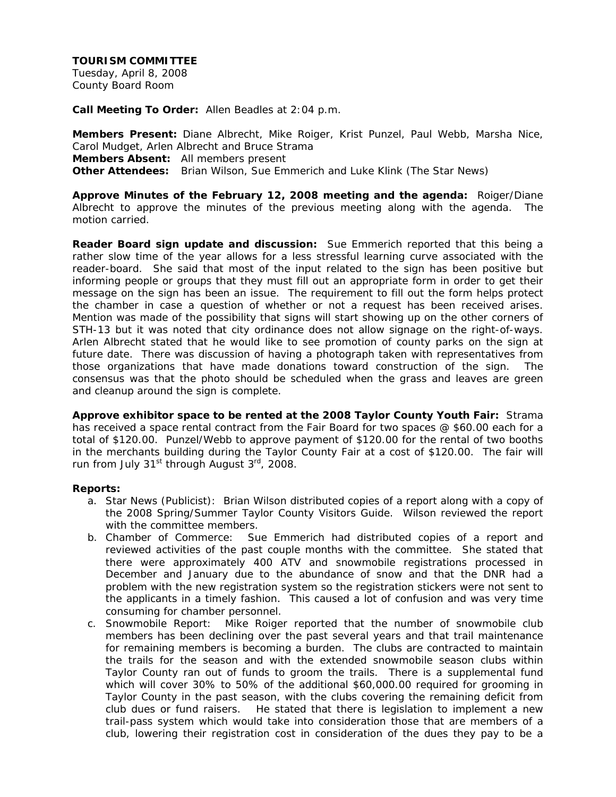Tuesday, April 8, 2008 County Board Room

**Call Meeting To Order:** Allen Beadles at 2:04 p.m.

**Members Present:** Diane Albrecht, Mike Roiger, Krist Punzel, Paul Webb, Marsha Nice, Carol Mudget, Arlen Albrecht and Bruce Strama **Members Absent:** All members present **Other Attendees:** Brian Wilson, Sue Emmerich and Luke Klink (The Star News)

**Approve Minutes of the February 12, 2008 meeting and the agenda:** Roiger/Diane Albrecht to approve the minutes of the previous meeting along with the agenda. The motion carried.

**Reader Board sign update and discussion:** Sue Emmerich reported that this being a rather slow time of the year allows for a less stressful learning curve associated with the reader-board. She said that most of the input related to the sign has been positive but informing people or groups that they must fill out an appropriate form in order to get their message on the sign has been an issue. The requirement to fill out the form helps protect the chamber in case a question of whether or not a request has been received arises. Mention was made of the possibility that signs will start showing up on the other corners of STH-13 but it was noted that city ordinance does not allow signage on the right-of-ways. Arlen Albrecht stated that he would like to see promotion of county parks on the sign at future date. There was discussion of having a photograph taken with representatives from those organizations that have made donations toward construction of the sign. The consensus was that the photo should be scheduled when the grass and leaves are green and cleanup around the sign is complete.

**Approve exhibitor space to be rented at the 2008 Taylor County Youth Fair:** Strama has received a space rental contract from the Fair Board for two spaces @ \$60.00 each for a total of \$120.00. Punzel/Webb to approve payment of \$120.00 for the rental of two booths in the merchants building during the Taylor County Fair at a cost of \$120.00. The fair will run from July 31<sup>st</sup> through August 3<sup>rd</sup>, 2008.

## **Reports:**

- a. Star News (Publicist): Brian Wilson distributed copies of a report along with a copy of the 2008 Spring/Summer Taylor County Visitors Guide. Wilson reviewed the report with the committee members.
- b. Chamber of Commerce: Sue Emmerich had distributed copies of a report and reviewed activities of the past couple months with the committee. She stated that there were approximately 400 ATV and snowmobile registrations processed in December and January due to the abundance of snow and that the DNR had a problem with the new registration system so the registration stickers were not sent to the applicants in a timely fashion. This caused a lot of confusion and was very time consuming for chamber personnel.
- c. Snowmobile Report: Mike Roiger reported that the number of snowmobile club members has been declining over the past several years and that trail maintenance for remaining members is becoming a burden. The clubs are contracted to maintain the trails for the season and with the extended snowmobile season clubs within Taylor County ran out of funds to groom the trails. There is a supplemental fund which will cover 30% to 50% of the additional \$60,000.00 required for grooming in Taylor County in the past season, with the clubs covering the remaining deficit from club dues or fund raisers. He stated that there is legislation to implement a new trail-pass system which would take into consideration those that are members of a club, lowering their registration cost in consideration of the dues they pay to be a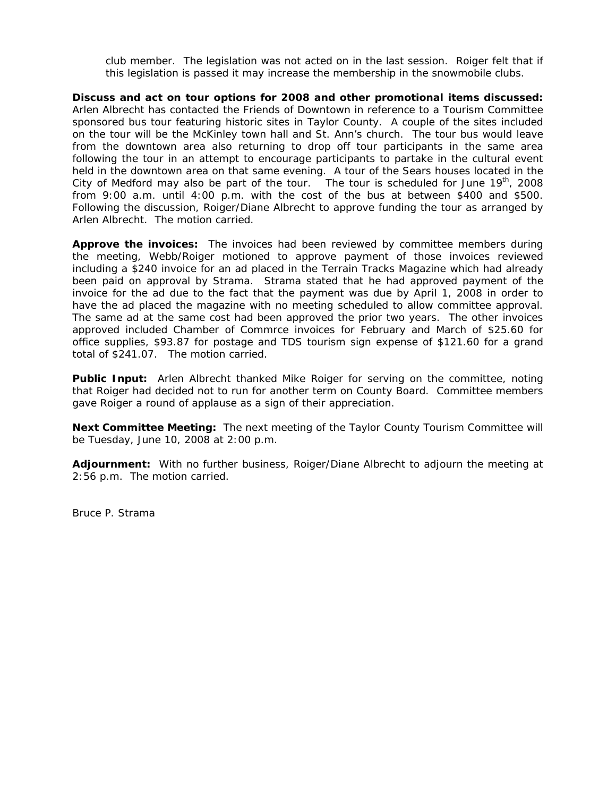club member. The legislation was not acted on in the last session. Roiger felt that if this legislation is passed it may increase the membership in the snowmobile clubs.

**Discuss and act on tour options for 2008 and other promotional items discussed:** Arlen Albrecht has contacted the Friends of Downtown in reference to a Tourism Committee sponsored bus tour featuring historic sites in Taylor County. A couple of the sites included on the tour will be the McKinley town hall and St. Ann's church. The tour bus would leave from the downtown area also returning to drop off tour participants in the same area following the tour in an attempt to encourage participants to partake in the cultural event held in the downtown area on that same evening. A tour of the Sears houses located in the City of Medford may also be part of the tour. The tour is scheduled for June  $19<sup>th</sup>$ , 2008 from 9:00 a.m. until 4:00 p.m. with the cost of the bus at between \$400 and \$500. Following the discussion, Roiger/Diane Albrecht to approve funding the tour as arranged by Arlen Albrecht. The motion carried.

**Approve the invoices:** The invoices had been reviewed by committee members during the meeting, Webb/Roiger motioned to approve payment of those invoices reviewed including a \$240 invoice for an ad placed in the Terrain Tracks Magazine which had already been paid on approval by Strama. Strama stated that he had approved payment of the invoice for the ad due to the fact that the payment was due by April 1, 2008 in order to have the ad placed the magazine with no meeting scheduled to allow committee approval. The same ad at the same cost had been approved the prior two years. The other invoices approved included Chamber of Commrce invoices for February and March of \$25.60 for office supplies, \$93.87 for postage and TDS tourism sign expense of \$121.60 for a grand total of \$241.07. The motion carried.

**Public Input:** Arlen Albrecht thanked Mike Roiger for serving on the committee, noting that Roiger had decided not to run for another term on County Board. Committee members gave Roiger a round of applause as a sign of their appreciation.

**Next Committee Meeting:** The next meeting of the Taylor County Tourism Committee will be Tuesday, June 10, 2008 at 2:00 p.m.

**Adjournment:** With no further business, Roiger/Diane Albrecht to adjourn the meeting at 2:56 p.m. The motion carried.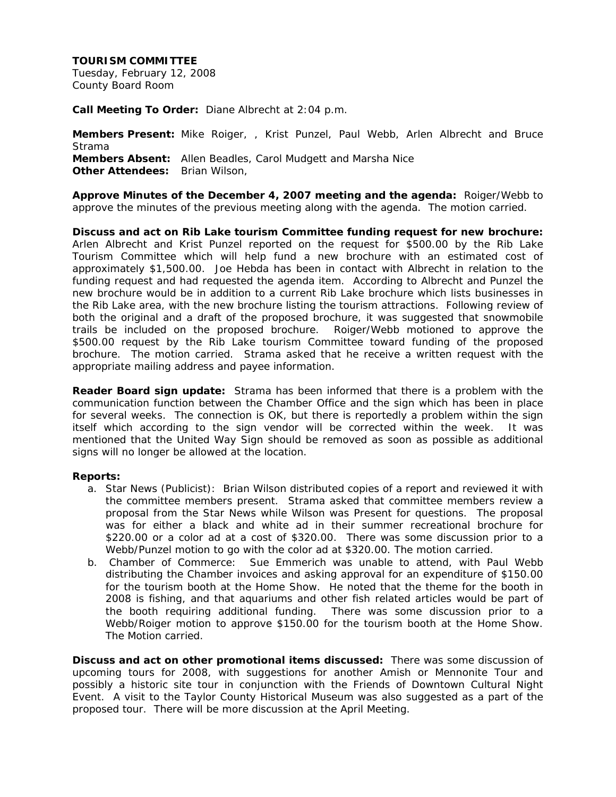Tuesday, February 12, 2008 County Board Room

**Call Meeting To Order:** Diane Albrecht at 2:04 p.m.

**Members Present:** Mike Roiger, , Krist Punzel, Paul Webb, Arlen Albrecht and Bruce Strama **Members Absent:** Allen Beadles, Carol Mudgett and Marsha Nice **Other Attendees:** Brian Wilson,

**Approve Minutes of the December 4, 2007 meeting and the agenda:** Roiger/Webb to approve the minutes of the previous meeting along with the agenda. The motion carried.

**Discuss and act on Rib Lake tourism Committee funding request for new brochure:** Arlen Albrecht and Krist Punzel reported on the request for \$500.00 by the Rib Lake Tourism Committee which will help fund a new brochure with an estimated cost of approximately \$1,500.00. Joe Hebda has been in contact with Albrecht in relation to the funding request and had requested the agenda item. According to Albrecht and Punzel the new brochure would be in addition to a current Rib Lake brochure which lists businesses in the Rib Lake area, with the new brochure listing the tourism attractions. Following review of both the original and a draft of the proposed brochure, it was suggested that snowmobile trails be included on the proposed brochure. Roiger/Webb motioned to approve the \$500.00 request by the Rib Lake tourism Committee toward funding of the proposed brochure. The motion carried. Strama asked that he receive a written request with the appropriate mailing address and payee information.

**Reader Board sign update:** Strama has been informed that there is a problem with the communication function between the Chamber Office and the sign which has been in place for several weeks. The connection is OK, but there is reportedly a problem within the sign itself which according to the sign vendor will be corrected within the week. It was mentioned that the United Way Sign should be removed as soon as possible as additional signs will no longer be allowed at the location.

## **Reports:**

- a. Star News (Publicist): Brian Wilson distributed copies of a report and reviewed it with the committee members present. Strama asked that committee members review a proposal from the Star News while Wilson was Present for questions. The proposal was for either a black and white ad in their summer recreational brochure for \$220.00 or a color ad at a cost of \$320.00. There was some discussion prior to a Webb/Punzel motion to go with the color ad at \$320.00. The motion carried.
- b. Chamber of Commerce: Sue Emmerich was unable to attend, with Paul Webb distributing the Chamber invoices and asking approval for an expenditure of \$150.00 for the tourism booth at the Home Show. He noted that the theme for the booth in 2008 is fishing, and that aquariums and other fish related articles would be part of the booth requiring additional funding. There was some discussion prior to a Webb/Roiger motion to approve \$150.00 for the tourism booth at the Home Show. The Motion carried.

**Discuss and act on other promotional items discussed:** There was some discussion of upcoming tours for 2008, with suggestions for another Amish or Mennonite Tour and possibly a historic site tour in conjunction with the Friends of Downtown Cultural Night Event. A visit to the Taylor County Historical Museum was also suggested as a part of the proposed tour. There will be more discussion at the April Meeting.